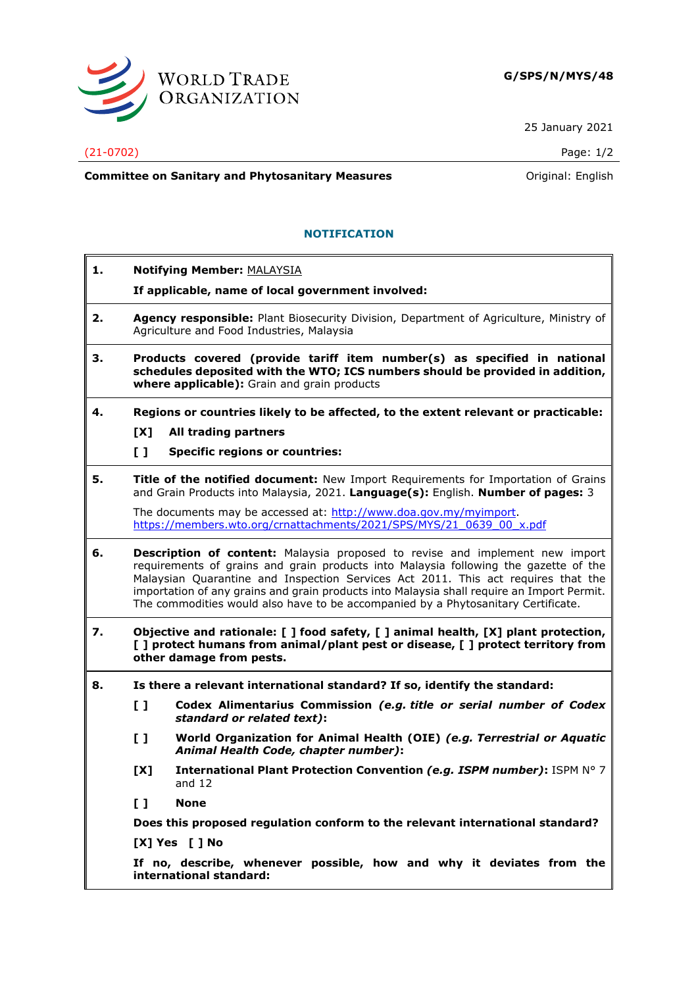

25 January 2021

**Committee on Sanitary and Phytosanitary Measures Committee on Sanitary and Phytosanitary Measures Committee And American** 

## **NOTIFICATION**

- **1. Notifying Member:** MALAYSIA
	- **If applicable, name of local government involved:**
- **2. Agency responsible:** Plant Biosecurity Division, Department of Agriculture, Ministry of Agriculture and Food Industries, Malaysia
- **3. Products covered (provide tariff item number(s) as specified in national schedules deposited with the WTO; ICS numbers should be provided in addition, where applicable):** Grain and grain products
- **4. Regions or countries likely to be affected, to the extent relevant or practicable:**
	- **[X] All trading partners**
	- **[ ] Specific regions or countries:**
- **5. Title of the notified document:** New Import Requirements for Importation of Grains and Grain Products into Malaysia, 2021. **Language(s):** English. **Number of pages:** 3

The documents may be accessed at: [http://www.doa.gov.my/myimport.](http://www.doa.gov.my/myimport) [https://members.wto.org/crnattachments/2021/SPS/MYS/21\\_0639\\_00\\_x.pdf](https://members.wto.org/crnattachments/2021/SPS/MYS/21_0639_00_x.pdf)

- **6. Description of content:** Malaysia proposed to revise and implement new import requirements of grains and grain products into Malaysia following the gazette of the Malaysian Quarantine and Inspection Services Act 2011. This act requires that the importation of any grains and grain products into Malaysia shall require an Import Permit. The commodities would also have to be accompanied by a Phytosanitary Certificate.
- **7. Objective and rationale: [ ] food safety, [ ] animal health, [X] plant protection, [ ] protect humans from animal/plant pest or disease, [ ] protect territory from other damage from pests.**
- **8. Is there a relevant international standard? If so, identify the standard:**
	- **[ ] Codex Alimentarius Commission** *(e.g. title or serial number of Codex standard or related text)***:**
	- **[ ] World Organization for Animal Health (OIE)** *(e.g. Terrestrial or Aquatic Animal Health Code, chapter number)***:**
	- **[X] International Plant Protection Convention** *(e.g. ISPM number)***:** ISPM N° 7 and 12
	- **[ ] None**

**Does this proposed regulation conform to the relevant international standard?** 

**[X] Yes [ ] No**

**If no, describe, whenever possible, how and why it deviates from the international standard:**